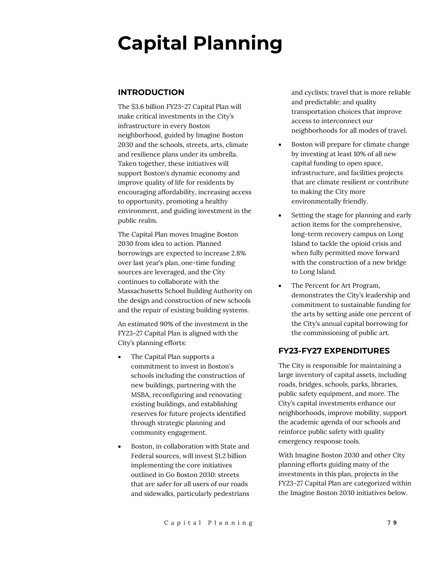# **Capital Planning**

# **INTRODUCTION**

The \$3.6 billion FY23-27 Capital Plan will make critical investments in the City's infrastructure in every Boston neighborhood, guided by Imagine Boston 2030 and the schools, streets, arts, climate and resilience plans under its umbrella. Taken together, these initiatives will support Boston's dynamic economy and improve quality of life for residents by encouraging affordability, increasing access to opportunity, promoting a healthy environment, and guiding investment in the public realm.

The Capital Plan moves Imagine Boston 2030 from idea to action. Planned borrowings are expected to increase 2.8% over last year's plan, one-time funding sources are leveraged, and the City continues to collaborate with the Massachusetts School Building Authority on the design and construction of new schools and the repair of existing building systems.

An estimated 90% of the investment in the FY23-27 Capital Plan is aligned with the City's planning efforts:

- The Capital Plan supports a commitment to invest in Boston's schools including the construction of new buildings, partnering with the MSBA, reconfiguring and renovating existing buildings, and establishing reserves for future projects identified through strategic planning and community engagement.
- Boston, in collaboration with State and Federal sources, will invest \$1.2 billion implementing the core initiatives outlined in Go Boston 2030: streets that are safer for all users of our roads and sidewalks, particularly pedestrians

and cyclists; travel that is more reliable and predictable; and quality transportation choices that improve access to interconnect our neighborhoods for all modes of travel.

- Boston will prepare for climate change by investing at least 10% of all new capital funding to open space, infrastructure, and facilities projects that are climate resilient or contribute to making the City more environmentally friendly.
- Setting the stage for planning and early action items for the comprehensive, long-term recovery campus on Long Island to tackle the opioid crisis and when fully permitted move forward with the construction of a new bridge to Long Island.
- The Percent for Art Program, demonstrates the City's leadership and commitment to sustainable funding for the arts by setting aside one percent of the City's annual capital borrowing for the commissioning of public art.

# **FY23-FY27 EXPENDITURES**

The City is responsible for maintaining a large inventory of capital assets, including roads, bridges, schools, parks, libraries, public safety equipment, and more. The City's capital investments enhance our neighborhoods, improve mobility, support the academic agenda of our schools and reinforce public safety with quality emergency response tools.

With Imagine Boston 2030 and other City planning efforts guiding many of the investments in this plan, projects in the FY23-27 Capital Plan are categorized within the Imagine Boston 2030 initiatives below.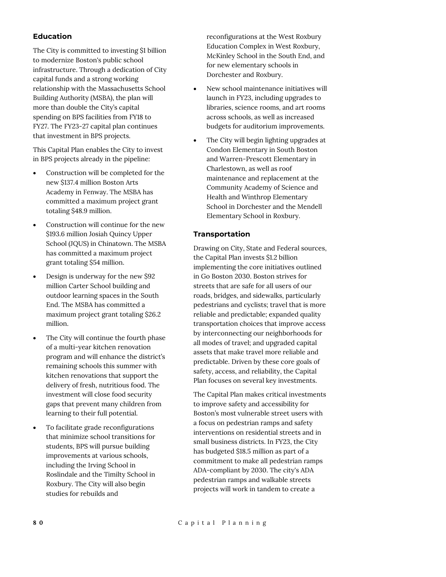## **Education**

The City is committed to investing \$1 billion to modernize Boston's public school infrastructure. Through a dedication of City capital funds and a strong working relationship with the Massachusetts School Building Authority (MSBA), the plan will more than double the City's capital spending on BPS facilities from FY18 to FY27. The FY23-27 capital plan continues that investment in BPS projects.

This Capital Plan enables the City to invest in BPS projects already in the pipeline:

- Construction will be completed for the new \$137.4 million Boston Arts Academy in Fenway. The MSBA has committed a maximum project grant totaling \$48.9 million.
- Construction will continue for the new \$193.6 million Josiah Quincy Upper School (JQUS) in Chinatown. The MSBA has committed a maximum project grant totaling \$54 million.
- Design is underway for the new \$92 million Carter School building and outdoor learning spaces in the South End. The MSBA has committed a maximum project grant totaling \$26.2 million.
- The City will continue the fourth phase of a multi-year kitchen renovation program and will enhance the district's remaining schools this summer with kitchen renovations that support the delivery of fresh, nutritious food. The investment will close food security gaps that prevent many children from learning to their full potential.
- To facilitate grade reconfigurations that minimize school transitions for students, BPS will pursue building improvements at various schools, including the Irving School in Roslindale and the Timilty School in Roxbury. The City will also begin studies for rebuilds and

reconfigurations at the West Roxbury Education Complex in West Roxbury, McKinley School in the South End, and for new elementary schools in Dorchester and Roxbury.

- New school maintenance initiatives will launch in FY23, including upgrades to libraries, science rooms, and art rooms across schools, as well as increased budgets for auditorium improvements.
- The City will begin lighting upgrades at Condon Elementary in South Boston and Warren-Prescott Elementary in Charlestown, as well as roof maintenance and replacement at the Community Academy of Science and Health and Winthrop Elementary School in Dorchester and the Mendell Elementary School in Roxbury.

## **Transportation**

Drawing on City, State and Federal sources, the Capital Plan invests \$1.2 billion implementing the core initiatives outlined in Go Boston 2030. Boston strives for streets that are safe for all users of our roads, bridges, and sidewalks, particularly pedestrians and cyclists; travel that is more reliable and predictable; expanded quality transportation choices that improve access by interconnecting our neighborhoods for all modes of travel; and upgraded capital assets that make travel more reliable and predictable. Driven by these core goals of safety, access, and reliability, the Capital Plan focuses on several key investments.

The Capital Plan makes critical investments to improve safety and accessibility for Boston's most vulnerable street users with a focus on pedestrian ramps and safety interventions on residential streets and in small business districts. In FY23, the City has budgeted \$18.5 million as part of a commitment to make all pedestrian ramps ADA-compliant by 2030. The city's ADA pedestrian ramps and walkable streets projects will work in tandem to create a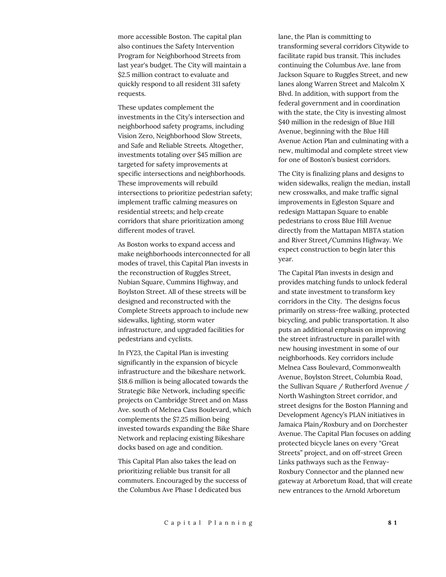more accessible Boston. The capital plan also continues the Safety Intervention Program for Neighborhood Streets from last year's budget. The City will maintain a \$2.5 million contract to evaluate and quickly respond to all resident 311 safety requests.

These updates complement the investments in the City's intersection and neighborhood safety programs, including Vision Zero, Neighborhood Slow Streets, and Safe and Reliable Streets. Altogether, investments totaling over \$45 million are targeted for safety improvements at specific intersections and neighborhoods. These improvements will rebuild intersections to prioritize pedestrian safety; implement traffic calming measures on residential streets; and help create corridors that share prioritization among different modes of travel.

As Boston works to expand access and make neighborhoods interconnected for all modes of travel, this Capital Plan invests in the reconstruction of Ruggles Street, Nubian Square, Cummins Highway, and Boylston Street. All of these streets will be designed and reconstructed with the Complete Streets approach to include new sidewalks, lighting, storm water infrastructure, and upgraded facilities for pedestrians and cyclists.

In FY23, the Capital Plan is investing significantly in the expansion of bicycle infrastructure and the bikeshare network. \$18.6 million is being allocated towards the Strategic Bike Network, including specific projects on Cambridge Street and on Mass Ave. south of Melnea Cass Boulevard, which complements the \$7.25 million being invested towards expanding the Bike Share Network and replacing existing Bikeshare docks based on age and condition.

This Capital Plan also takes the lead on prioritizing reliable bus transit for all commuters. Encouraged by the success of the Columbus Ave Phase I dedicated bus

lane, the Plan is committing to transforming several corridors Citywide to facilitate rapid bus transit. This includes continuing the Columbus Ave. lane from Jackson Square to Ruggles Street, and new lanes along Warren Street and Malcolm X Blvd. In addition, with support from the federal government and in coordination with the state, the City is investing almost \$40 million in the redesign of Blue Hill Avenue, beginning with the Blue Hill Avenue Action Plan and culminating with a new, multimodal and complete street view for one of Boston's busiest corridors.

The City is finalizing plans and designs to widen sidewalks, realign the median, install new crosswalks, and make traffic signal improvements in Egleston Square and redesign Mattapan Square to enable pedestrians to cross Blue Hill Avenue directly from the Mattapan MBTA station and River Street/Cummins Highway. We expect construction to begin later this year.

The Capital Plan invests in design and provides matching funds to unlock federal and state investment to transform key corridors in the City. The designs focus primarily on stress-free walking, protected bicycling, and public transportation. It also puts an additional emphasis on improving the street infrastructure in parallel with new housing investment in some of our neighborhoods. Key corridors include Melnea Cass Boulevard, Commonwealth Avenue, Boylston Street, Columbia Road, the Sullivan Square / Rutherford Avenue / North Washington Street corridor, and street designs for the Boston Planning and Development Agency's PLAN initiatives in Jamaica Plain/Roxbury and on Dorchester Avenue. The Capital Plan focuses on adding protected bicycle lanes on every "Great Streets" project, and on off-street Green Links pathways such as the Fenway-Roxbury Connector and the planned new gateway at Arboretum Road, that will create new entrances to the Arnold Arboretum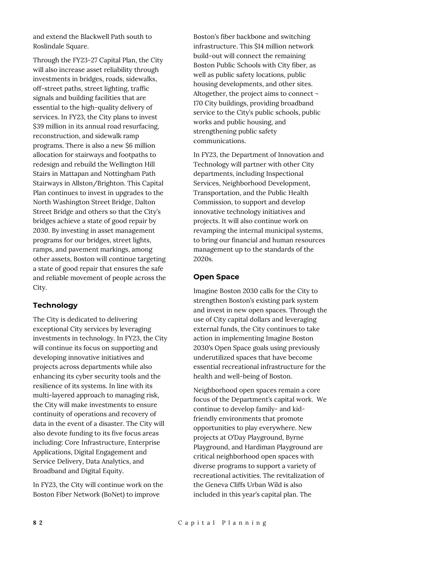and extend the Blackwell Path south to Roslindale Square.

Through the FY23-27 Capital Plan, the City will also increase asset reliability through investments in bridges, roads, sidewalks, off-street paths, street lighting, traffic signals and building facilities that are essential to the high-quality delivery of services. In FY23, the City plans to invest \$39 million in its annual road resurfacing, reconstruction, and sidewalk ramp programs. There is also a new \$6 million allocation for stairways and footpaths to redesign and rebuild the Wellington Hill Stairs in Mattapan and Nottingham Path Stairways in Allston/Brighton. This Capital Plan continues to invest in upgrades to the North Washington Street Bridge, Dalton Street Bridge and others so that the City's bridges achieve a state of good repair by 2030. By investing in asset management programs for our bridges, street lights, ramps, and pavement markings, among other assets, Boston will continue targeting a state of good repair that ensures the safe and reliable movement of people across the City.

## **Technology**

The City is dedicated to delivering exceptional City services by leveraging investments in technology. In FY23, the City will continue its focus on supporting and developing innovative initiatives and projects across departments while also enhancing its cyber security tools and the resilience of its systems. In line with its multi-layered approach to managing risk, the City will make investments to ensure continuity of operations and recovery of data in the event of a disaster. The City will also devote funding to its five focus areas including: Core Infrastructure, Enterprise Applications, Digital Engagement and Service Delivery, Data Analytics, and Broadband and Digital Equity.

In FY23, the City will continue work on the Boston Fiber Network (BoNet) to improve

Boston's fiber backbone and switching infrastructure. This \$14 million network build-out will connect the remaining Boston Public Schools with City fiber, as well as public safety locations, public housing developments, and other sites. Altogether, the project aims to connect ~ 170 City buildings, providing broadband service to the City's public schools, public works and public housing, and strengthening public safety communications.

In FY23, the Department of Innovation and Technology will partner with other City departments, including Inspectional Services, Neighborhood Development, Transportation, and the Public Health Commission, to support and develop innovative technology initiatives and projects. It will also continue work on revamping the internal municipal systems, to bring our financial and human resources management up to the standards of the 2020s.

## **Open Space**

Imagine Boston 2030 calls for the City to strengthen Boston's existing park system and invest in new open spaces. Through the use of City capital dollars and leveraging external funds, the City continues to take action in implementing Imagine Boston 2030's Open Space goals using previously underutilized spaces that have become essential recreational infrastructure for the health and well-being of Boston.

Neighborhood open spaces remain a core focus of the Department's capital work. We continue to develop family- and kidfriendly environments that promote opportunities to play everywhere. New projects at O'Day Playground, Byrne Playground, and Hardiman Playground are critical neighborhood open spaces with diverse programs to support a variety of recreational activities. The revitalization of the Geneva Cliffs Urban Wild is also included in this year's capital plan. The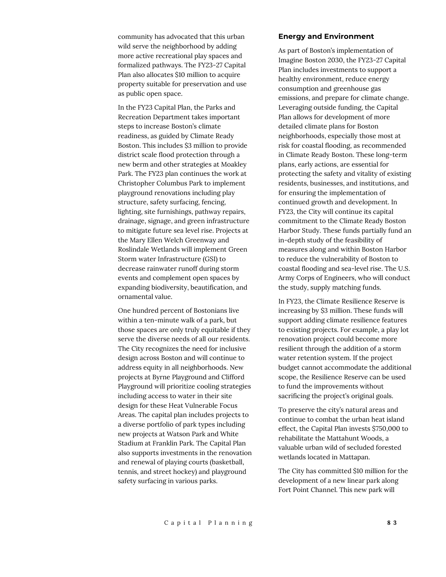community has advocated that this urban wild serve the neighborhood by adding more active recreational play spaces and formalized pathways. The FY23-27 Capital Plan also allocates \$10 million to acquire property suitable for preservation and use as public open space.

In the FY23 Capital Plan, the Parks and Recreation Department takes important steps to increase Boston's climate readiness, as guided by Climate Ready Boston. This includes \$3 million to provide district scale flood protection through a new berm and other strategies at Moakley Park. The FY23 plan continues the work at Christopher Columbus Park to implement playground renovations including play structure, safety surfacing, fencing, lighting, site furnishings, pathway repairs, drainage, signage, and green infrastructure to mitigate future sea level rise. Projects at the Mary Ellen Welch Greenway and Roslindale Wetlands will implement Green Storm water Infrastructure (GSI) to decrease rainwater runoff during storm events and complement open spaces by expanding biodiversity, beautification, and ornamental value.

One hundred percent of Bostonians live within a ten-minute walk of a park, but those spaces are only truly equitable if they serve the diverse needs of all our residents. The City recognizes the need for inclusive design across Boston and will continue to address equity in all neighborhoods. New projects at Byrne Playground and Clifford Playground will prioritize cooling strategies including access to water in their site design for these Heat Vulnerable Focus Areas. The capital plan includes projects to a diverse portfolio of park types including new projects at Watson Park and White Stadium at Franklin Park. The Capital Plan also supports investments in the renovation and renewal of playing courts (basketball, tennis, and street hockey) and playground safety surfacing in various parks.

#### **Energy and Environment**

As part of Boston's implementation of Imagine Boston 2030, the FY23-27 Capital Plan includes investments to support a healthy environment, reduce energy consumption and greenhouse gas emissions, and prepare for climate change. Leveraging outside funding, the Capital Plan allows for development of more detailed climate plans for Boston neighborhoods, especially those most at risk for coastal flooding, as recommended in Climate Ready Boston. These long-term plans, early actions, are essential for protecting the safety and vitality of existing residents, businesses, and institutions, and for ensuring the implementation of continued growth and development. In FY23, the City will continue its capital commitment to the Climate Ready Boston Harbor Study. These funds partially fund an in-depth study of the feasibility of measures along and within Boston Harbor to reduce the vulnerability of Boston to coastal flooding and sea-level rise. The U.S. Army Corps of Engineers, who will conduct the study, supply matching funds.

In FY23, the Climate Resilience Reserve is increasing by \$3 million. These funds will support adding climate resilience features to existing projects. For example, a play lot renovation project could become more resilient through the addition of a storm water retention system. If the project budget cannot accommodate the additional scope, the Resilience Reserve can be used to fund the improvements without sacrificing the project's original goals.

To preserve the city's natural areas and continue to combat the urban heat island effect, the Capital Plan invests \$750,000 to rehabilitate the Mattahunt Woods, a valuable urban wild of secluded forested wetlands located in Mattapan.

The City has committed \$10 million for the development of a new linear park along Fort Point Channel. This new park will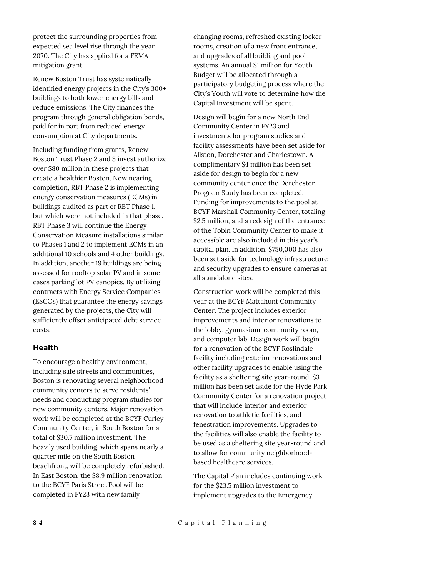protect the surrounding properties from expected sea level rise through the year 2070. The City has applied for a FEMA mitigation grant.

Renew Boston Trust has systematically identified energy projects in the City's 300+ buildings to both lower energy bills and reduce emissions. The City finances the program through general obligation bonds, paid for in part from reduced energy consumption at City departments.

Including funding from grants, Renew Boston Trust Phase 2 and 3 invest authorize over \$80 million in these projects that create a healthier Boston. Now nearing completion, RBT Phase 2 is implementing energy conservation measures (ECMs) in buildings audited as part of RBT Phase 1, but which were not included in that phase. RBT Phase 3 will continue the Energy Conservation Measure installations similar to Phases 1 and 2 to implement ECMs in an additional 10 schools and 4 other buildings. In addition, another 19 buildings are being assessed for rooftop solar PV and in some cases parking lot PV canopies. By utilizing contracts with Energy Service Companies (ESCOs) that guarantee the energy savings generated by the projects, the City will sufficiently offset anticipated debt service costs.

## **Health**

To encourage a healthy environment, including safe streets and communities, Boston is renovating several neighborhood community centers to serve residents' needs and conducting program studies for new community centers. Major renovation work will be completed at the BCYF Curley Community Center, in South Boston for a total of \$30.7 million investment. The heavily used building, which spans nearly a quarter mile on the South Boston beachfront, will be completely refurbished. In East Boston, the \$8.9 million renovation to the BCYF Paris Street Pool will be completed in FY23 with new family

changing rooms, refreshed existing locker rooms, creation of a new front entrance, and upgrades of all building and pool systems. An annual \$1 million for Youth Budget will be allocated through a participatory budgeting process where the City's Youth will vote to determine how the Capital Investment will be spent.

Design will begin for a new North End Community Center in FY23 and investments for program studies and facility assessments have been set aside for Allston, Dorchester and Charlestown. A complimentary \$4 million has been set aside for design to begin for a new community center once the Dorchester Program Study has been completed. Funding for improvements to the pool at BCYF Marshall Community Center, totaling \$2.5 million, and a redesign of the entrance of the Tobin Community Center to make it accessible are also included in this year's capital plan. In addition, \$750,000 has also been set aside for technology infrastructure and security upgrades to ensure cameras at all standalone sites.

Construction work will be completed this year at the BCYF Mattahunt Community Center. The project includes exterior improvements and interior renovations to the lobby, gymnasium, community room, and computer lab. Design work will begin for a renovation of the BCYF Roslindale facility including exterior renovations and other facility upgrades to enable using the facility as a sheltering site year-round. \$3 million has been set aside for the Hyde Park Community Center for a renovation project that will include interior and exterior renovation to athletic facilities, and fenestration improvements. Upgrades to the facilities will also enable the facility to be used as a sheltering site year-round and to allow for community neighborhoodbased healthcare services.

The Capital Plan includes continuing work for the \$23.5 million investment to implement upgrades to the Emergency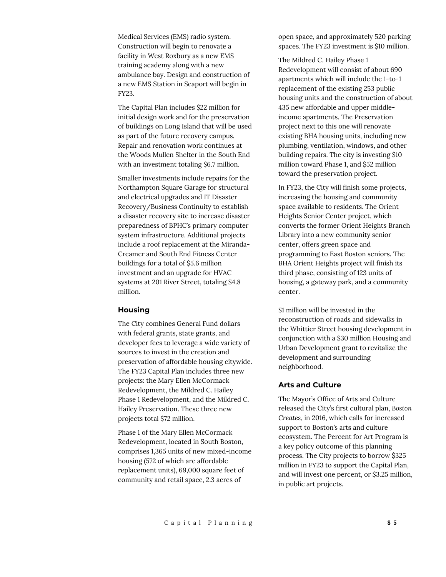Medical Services (EMS) radio system. Construction will begin to renovate a facility in West Roxbury as a new EMS training academy along with a new ambulance bay. Design and construction of a new EMS Station in Seaport will begin in FY23.

The Capital Plan includes \$22 million for initial design work and for the preservation of buildings on Long Island that will be used as part of the future recovery campus. Repair and renovation work continues at the Woods Mullen Shelter in the South End with an investment totaling \$6.7 million.

Smaller investments include repairs for the Northampton Square Garage for structural and electrical upgrades and IT Disaster Recovery/Business Continuity to establish a disaster recovery site to increase disaster preparedness of BPHC's primary computer system infrastructure. Additional projects include a roof replacement at the Miranda-Creamer and South End Fitness Center buildings for a total of \$5.6 million investment and an upgrade for HVAC systems at 201 River Street, totaling \$4.8 million.

#### **Housing**

The City combines General Fund dollars with federal grants, state grants, and developer fees to leverage a wide variety of sources to invest in the creation and preservation of affordable housing citywide. The FY23 Capital Plan includes three new projects: the Mary Ellen McCormack Redevelopment, the Mildred C. Hailey Phase 1 Redevelopment, and the Mildred C. Hailey Preservation. These three new projects total \$72 million.

Phase 1 of the Mary Ellen McCormack Redevelopment, located in South Boston, comprises 1,365 units of new mixed-income housing (572 of which are affordable replacement units), 69,000 square feet of community and retail space, 2.3 acres of

open space, and approximately 520 parking spaces. The FY23 investment is \$10 million.

The Mildred C. Hailey Phase 1 Redevelopment will consist of about 690 apartments which will include the 1-to-1 replacement of the existing 253 public housing units and the construction of about 435 new affordable and upper middleincome apartments. The Preservation project next to this one will renovate existing BHA housing units, including new plumbing, ventilation, windows, and other building repairs. The city is investing \$10 million toward Phase 1, and \$52 million toward the preservation project.

In FY23, the City will finish some projects, increasing the housing and community space available to residents. The Orient Heights Senior Center project, which converts the former Orient Heights Branch Library into a new community senior center, offers green space and programming to East Boston seniors. The BHA Orient Heights project will finish its third phase, consisting of 123 units of housing, a gateway park, and a community center.

\$1 million will be invested in the reconstruction of roads and sidewalks in the Whittier Street housing development in conjunction with a \$30 million Housing and Urban Development grant to revitalize the development and surrounding neighborhood.

#### **Arts and Culture**

The Mayor's Office of Arts and Culture released the City's first cultural plan, *Boston Creates*, in 2016, which calls for increased support to Boston's arts and culture ecosystem. The Percent for Art Program is a key policy outcome of this planning process. The City projects to borrow \$325 million in FY23 to support the Capital Plan, and will invest one percent, or \$3.25 million, in public art projects.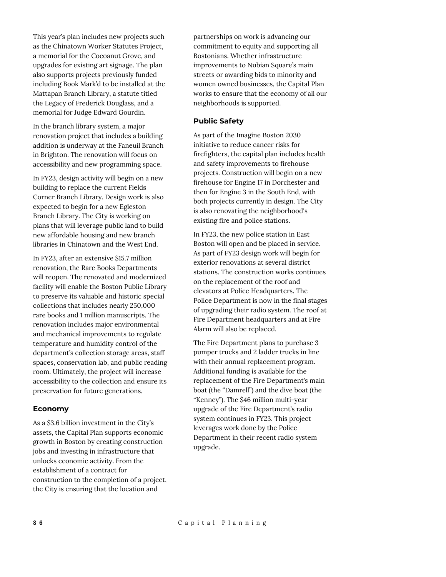This year's plan includes new projects such as the Chinatown Worker Statutes Project, a memorial for the Cocoanut Grove, and upgrades for existing art signage. The plan also supports projects previously funded including Book Mark'd to be installed at the Mattapan Branch Library, a statute titled the Legacy of Frederick Douglass, and a memorial for Judge Edward Gourdin.

In the branch library system, a major renovation project that includes a building addition is underway at the Faneuil Branch in Brighton. The renovation will focus on accessibility and new programming space.

In FY23, design activity will begin on a new building to replace the current Fields Corner Branch Library. Design work is also expected to begin for a new Egleston Branch Library. The City is working on plans that will leverage public land to build new affordable housing and new branch libraries in Chinatown and the West End.

In FY23, after an extensive \$15.7 million renovation, the Rare Books Departments will reopen. The renovated and modernized facility will enable the Boston Public Library to preserve its valuable and historic special collections that includes nearly 250,000 rare books and 1 million manuscripts. The renovation includes major environmental and mechanical improvements to regulate temperature and humidity control of the department's collection storage areas, staff spaces, conservation lab, and public reading room. Ultimately, the project will increase accessibility to the collection and ensure its preservation for future generations.

## **Economy**

As a \$3.6 billion investment in the City's assets, the Capital Plan supports economic growth in Boston by creating construction jobs and investing in infrastructure that unlocks economic activity. From the establishment of a contract for construction to the completion of a project, the City is ensuring that the location and

partnerships on work is advancing our commitment to equity and supporting all Bostonians. Whether infrastructure improvements to Nubian Square's main streets or awarding bids to minority and women owned businesses, the Capital Plan works to ensure that the economy of all our neighborhoods is supported.

#### **Public Safety**

As part of the Imagine Boston 2030 initiative to reduce cancer risks for firefighters, the capital plan includes health and safety improvements to firehouse projects. Construction will begin on a new firehouse for Engine 17 in Dorchester and then for Engine 3 in the South End, with both projects currently in design. The City is also renovating the neighborhood's existing fire and police stations.

In FY23, the new police station in East Boston will open and be placed in service. As part of FY23 design work will begin for exterior renovations at several district stations. The construction works continues on the replacement of the roof and elevators at Police Headquarters. The Police Department is now in the final stages of upgrading their radio system. The roof at Fire Department headquarters and at Fire Alarm will also be replaced.

The Fire Department plans to purchase 3 pumper trucks and 2 ladder trucks in line with their annual replacement program. Additional funding is available for the replacement of the Fire Department's main boat (the "Damrell") and the dive boat (the "Kenney"). The \$46 million multi-year upgrade of the Fire Department's radio system continues in FY23. This project leverages work done by the Police Department in their recent radio system upgrade.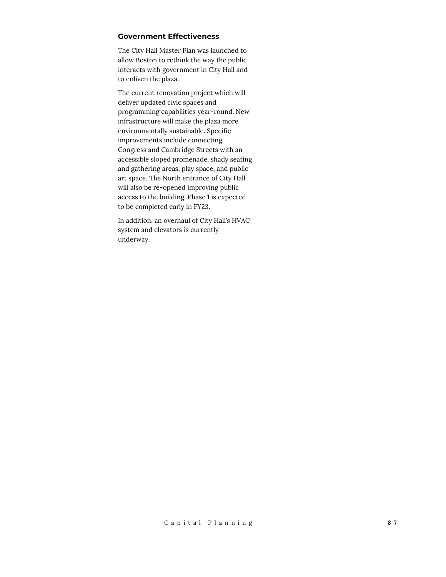## **Government Effectiveness**

The City Hall Master Plan was launched to allow Boston to rethink the way the public interacts with government in City Hall and to enliven the plaza.

The current renovation project which will deliver updated civic spaces and programming capabilities year-round. New infrastructure will make the plaza more environmentally sustainable. Specific improvements include connecting Congress and Cambridge Streets with an accessible sloped promenade, shady seating and gathering areas, play space, and public art space. The North entrance of City Hall will also be re-opened improving public access to the building. Phase 1 is expected to be completed early in FY23.

In addition, an overhaul of City Hall's HVAC system and elevators is currently underway.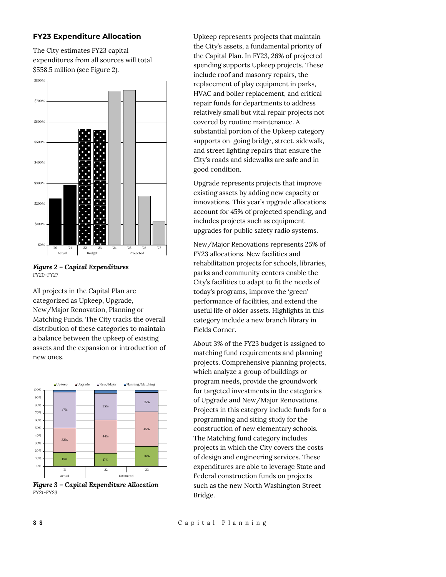## **FY23 Expenditure Allocation**

The City estimates FY23 capital expenditures from all sources will total \$558.5 million (see Figure 2).



*Figure 2 – Capital Expenditures FY20-FY27*

All projects in the Capital Plan are categorized as Upkeep, Upgrade, New/Major Renovation, Planning or Matching Funds. The City tracks the overall distribution of these categories to maintain a balance between the upkeep of existing assets and the expansion or introduction of new ones.



*Figure 3 – Capital Expenditure Allocation FY21-FY23*

Upkeep represents projects that maintain the City's assets, a fundamental priority of the Capital Plan. In FY23, 26% of projected spending supports Upkeep projects. These include roof and masonry repairs, the replacement of play equipment in parks, HVAC and boiler replacement, and critical repair funds for departments to address relatively small but vital repair projects not covered by routine maintenance. A substantial portion of the Upkeep category supports on-going bridge, street, sidewalk, and street lighting repairs that ensure the City's roads and sidewalks are safe and in good condition.

Upgrade represents projects that improve existing assets by adding new capacity or innovations. This year's upgrade allocations account for 45% of projected spending, and includes projects such as equipment upgrades for public safety radio systems.

New/Major Renovations represents 25% of FY23 allocations. New facilities and rehabilitation projects for schools, libraries, parks and community centers enable the City's facilities to adapt to fit the needs of today's programs, improve the 'green' performance of facilities, and extend the useful life of older assets. Highlights in this category include a new branch library in Fields Corner.

About 3% of the FY23 budget is assigned to matching fund requirements and planning projects. Comprehensive planning projects, which analyze a group of buildings or program needs, provide the groundwork for targeted investments in the categories of Upgrade and New/Major Renovations. Projects in this category include funds for a programming and siting study for the construction of new elementary schools. The Matching fund category includes projects in which the City covers the costs of design and engineering services. These expenditures are able to leverage State and Federal construction funds on projects such as the new North Washington Street Bridge.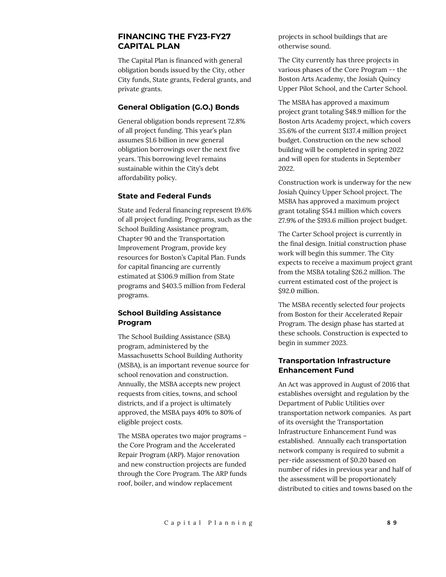# **FINANCING THE FY23-FY27 CAPITAL PLAN**

The Capital Plan is financed with general obligation bonds issued by the City, other City funds, State grants, Federal grants, and private grants.

## **General Obligation (G.O.) Bonds**

General obligation bonds represent 72.8% of all project funding. This year's plan assumes \$1.6 billion in new general obligation borrowings over the next five years. This borrowing level remains sustainable within the City's debt affordability policy.

## **State and Federal Funds**

State and Federal financing represent 19.6% of all project funding. Programs, such as the School Building Assistance program, Chapter 90 and the Transportation Improvement Program, provide key resources for Boston's Capital Plan. Funds for capital financing are currently estimated at \$306.9 million from State programs and \$403.5 million from Federal programs.

# **School Building Assistance Program**

The School Building Assistance (SBA) program, administered by the Massachusetts School Building Authority (MSBA), is an important revenue source for school renovation and construction. Annually, the MSBA accepts new project requests from cities, towns, and school districts, and if a project is ultimately approved, the MSBA pays 40% to 80% of eligible project costs.

The MSBA operates two major programs – the Core Program and the Accelerated Repair Program (ARP). Major renovation and new construction projects are funded through the Core Program. The ARP funds roof, boiler, and window replacement

projects in school buildings that are otherwise sound.

The City currently has three projects in various phases of the Core Program -- the Boston Arts Academy, the Josiah Quincy Upper Pilot School, and the Carter School.

The MSBA has approved a maximum project grant totaling \$48.9 million for the Boston Arts Academy project, which covers 35.6% of the current \$137.4 million project budget. Construction on the new school building will be completed in spring 2022 and will open for students in September 2022.

Construction work is underway for the new Josiah Quincy Upper School project. The MSBA has approved a maximum project grant totaling \$54.1 million which covers 27.9% of the \$193.6 million project budget.

The Carter School project is currently in the final design. Initial construction phase work will begin this summer. The City expects to receive a maximum project grant from the MSBA totaling \$26.2 million. The current estimated cost of the project is \$92.0 million.

The MSBA recently selected four projects from Boston for their Accelerated Repair Program. The design phase has started at these schools. Construction is expected to begin in summer 2023.

## **Transportation Infrastructure Enhancement Fund**

An Act was approved in August of 2016 that establishes oversight and regulation by the Department of Public Utilities over transportation network companies. As part of its oversight the Transportation Infrastructure Enhancement Fund was established. Annually each transportation network company is required to submit a per-ride assessment of \$0.20 based on number of rides in previous year and half of the assessment will be proportionately distributed to cities and towns based on the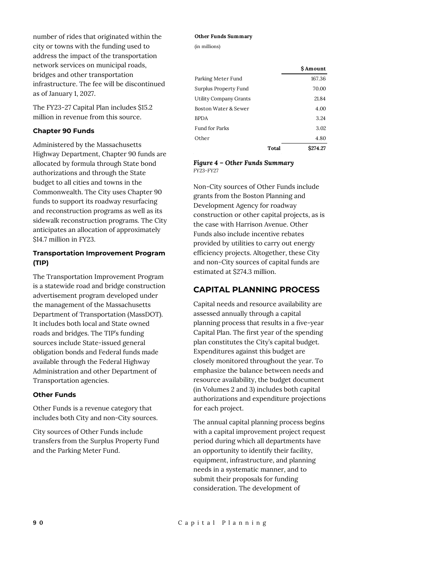number of rides that originated within the city or towns with the funding used to address the impact of the transportation network services on municipal roads, bridges and other transportation infrastructure. The fee will be discontinued as of January 1, 2027.

The FY23-27 Capital Plan includes \$15.2 million in revenue from this source.

#### **Chapter 90 Funds**

Administered by the Massachusetts Highway Department, Chapter 90 funds are allocated by formula through State bond authorizations and through the State budget to all cities and towns in the Commonwealth. The City uses Chapter 90 funds to support its roadway resurfacing and reconstruction programs as well as its sidewalk reconstruction programs. The City anticipates an allocation of approximately \$14.7 million in FY23.

## **Transportation Improvement Program (TIP)**

The Transportation Improvement Program is a statewide road and bridge construction advertisement program developed under the management of the Massachusetts Department of Transportation (MassDOT). It includes both local and State owned roads and bridges. The TIP's funding sources include State-issued general obligation bonds and Federal funds made available through the Federal Highway Administration and other Department of Transportation agencies.

## **Other Funds**

Other Funds is a revenue category that includes both City and non-City sources.

City sources of Other Funds include transfers from the Surplus Property Fund and the Parking Meter Fund.

#### **Other Funds Summary**

(in millions)

|                        | S Amount |
|------------------------|----------|
| Parking Meter Fund     | 167.36   |
| Surplus Property Fund  | 70.00    |
| Utility Company Grants | 21.84    |
| Boston Water & Sewer   | 4.00     |
| <b>BPDA</b>            | 3.24     |
| <b>Fund for Parks</b>  | 3.02     |
| Other                  | 4.80     |
| Total                  | S274.27  |

*Figure 4 – Other Funds Summary FY23-FY27*

Non-City sources of Other Funds include grants from the Boston Planning and Development Agency for roadway construction or other capital projects, as is the case with Harrison Avenue. Other Funds also include incentive rebates provided by utilities to carry out energy efficiency projects. Altogether, these City and non-City sources of capital funds are estimated at \$274.3 million.

# **CAPITAL PLANNING PROCESS**

Capital needs and resource availability are assessed annually through a capital planning process that results in a five-year Capital Plan. The first year of the spending plan constitutes the City's capital budget. Expenditures against this budget are closely monitored throughout the year. To emphasize the balance between needs and resource availability, the budget document (in Volumes 2 and 3) includes both capital authorizations and expenditure projections for each project.

The annual capital planning process begins with a capital improvement project request period during which all departments have an opportunity to identify their facility, equipment, infrastructure, and planning needs in a systematic manner, and to submit their proposals for funding consideration. The development of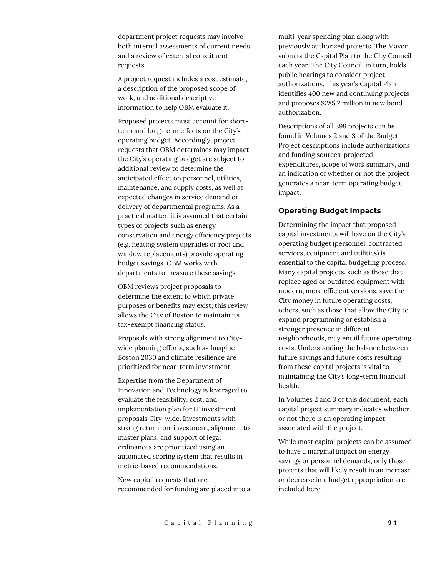department project requests may involve both internal assessments of current needs and a review of external constituent requests.

A project request includes a cost estimate, a description of the proposed scope of work, and additional descriptive information to help OBM evaluate it.

Proposed projects must account for shortterm and long-term effects on the City's operating budget. Accordingly, project requests that OBM determines may impact the City's operating budget are subject to additional review to determine the anticipated effect on personnel, utilities, maintenance, and supply costs, as well as expected changes in service demand or delivery of departmental programs. As a practical matter, it is assumed that certain types of projects such as energy conservation and energy efficiency projects (e.g. heating system upgrades or roof and window replacements) provide operating budget savings. OBM works with departments to measure these savings.

OBM reviews project proposals to determine the extent to which private purposes or benefits may exist; this review allows the City of Boston to maintain its tax-exempt financing status.

Proposals with strong alignment to Citywide planning efforts, such as Imagine Boston 2030 and climate resilience are prioritized for near-term investment.

Expertise from the Department of Innovation and Technology is leveraged to evaluate the feasibility, cost, and implementation plan for IT investment proposals City-wide. Investments with strong return-on-investment, alignment to master plans, and support of legal ordinances are prioritized using an automated scoring system that results in metric-based recommendations.

New capital requests that are recommended for funding are placed into a multi-year spending plan along with previously authorized projects. The Mayor submits the Capital Plan to the City Council each year. The City Council, in turn, holds public hearings to consider project authorizations. This year's Capital Plan identifies 400 new and continuing projects and proposes \$285.2 million in new bond authorization.

Descriptions of all 399 projects can be found in Volumes 2 and 3 of the Budget. Project descriptions include authorizations and funding sources, projected expenditures, scope of work summary, and an indication of whether or not the project generates a near-term operating budget impact.

# **Operating Budget Impacts**

Determining the impact that proposed capital investments will have on the City's operating budget (personnel, contracted services, equipment and utilities) is essential to the capital budgeting process. Many capital projects, such as those that replace aged or outdated equipment with modern, more efficient versions, save the City money in future operating costs; others, such as those that allow the City to expand programming or establish a stronger presence in different neighborhoods, may entail future operating costs. Understanding the balance between future savings and future costs resulting from these capital projects is vital to maintaining the City's long-term financial health.

In Volumes 2 and 3 of this document, each capital project summary indicates whether or not there is an operating impact associated with the project.

While most capital projects can be assumed to have a marginal impact on energy savings or personnel demands, only those projects that will likely result in an increase or decrease in a budget appropriation are included here.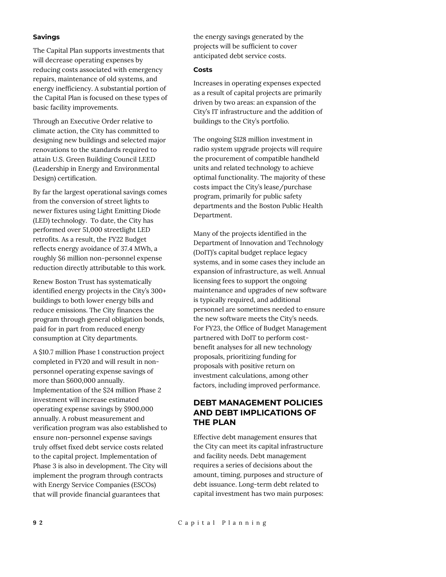#### **Savings**

The Capital Plan supports investments that will decrease operating expenses by reducing costs associated with emergency repairs, maintenance of old systems, and energy inefficiency. A substantial portion of the Capital Plan is focused on these types of basic facility improvements.

Through an Executive Order relative to climate action, the City has committed to designing new buildings and selected major renovations to the standards required to attain U.S. Green Building Council LEED (Leadership in Energy and Environmental Design) certification.

By far the largest operational savings comes from the conversion of street lights to newer fixtures using Light Emitting Diode (LED) technology. To date, the City has performed over 51,000 streetlight LED retrofits. As a result, the FY22 Budget reflects energy avoidance of 37.4 MWh, a roughly \$6 million non-personnel expense reduction directly attributable to this work.

Renew Boston Trust has systematically identified energy projects in the City's 300+ buildings to both lower energy bills and reduce emissions. The City finances the program through general obligation bonds, paid for in part from reduced energy consumption at City departments.

A \$10.7 million Phase 1 construction project completed in FY20 and will result in nonpersonnel operating expense savings of more than \$600,000 annually. Implementation of the \$24 million Phase 2 investment will increase estimated operating expense savings by \$900,000 annually. A robust measurement and verification program was also established to ensure non-personnel expense savings truly offset fixed debt service costs related to the capital project. Implementation of Phase 3 is also in development. The City will implement the program through contracts with Energy Service Companies (ESCOs) that will provide financial guarantees that

the energy savings generated by the projects will be sufficient to cover anticipated debt service costs.

#### **Costs**

Increases in operating expenses expected as a result of capital projects are primarily driven by two areas: an expansion of the City's IT infrastructure and the addition of buildings to the City's portfolio.

The ongoing \$128 million investment in radio system upgrade projects will require the procurement of compatible handheld units and related technology to achieve optimal functionality. The majority of these costs impact the City's lease/purchase program, primarily for public safety departments and the Boston Public Health Department.

Many of the projects identified in the Department of Innovation and Technology (DoIT)'s capital budget replace legacy systems, and in some cases they include an expansion of infrastructure, as well. Annual licensing fees to support the ongoing maintenance and upgrades of new software is typically required, and additional personnel are sometimes needed to ensure the new software meets the City's needs. For FY23, the Office of Budget Management partnered with DoIT to perform costbenefit analyses for all new technology proposals, prioritizing funding for proposals with positive return on investment calculations, among other factors, including improved performance.

# **DEBT MANAGEMENT POLICIES AND DEBT IMPLICATIONS OF THE PLAN**

Effective debt management ensures that the City can meet its capital infrastructure and facility needs. Debt management requires a series of decisions about the amount, timing, purposes and structure of debt issuance. Long-term debt related to capital investment has two main purposes: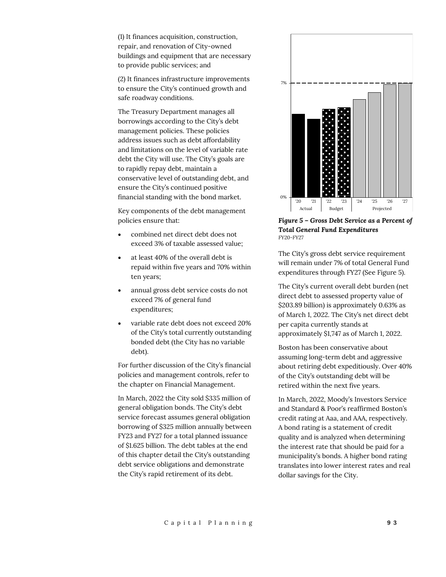(1) It finances acquisition, construction, repair, and renovation of City-owned buildings and equipment that are necessary to provide public services; and

(2) It finances infrastructure improvements to ensure the City's continued growth and safe roadway conditions.

The Treasury Department manages all borrowings according to the City's debt management policies. These policies address issues such as debt affordability and limitations on the level of variable rate debt the City will use. The City's goals are to rapidly repay debt, maintain a conservative level of outstanding debt, and ensure the City's continued positive financial standing with the bond market.

Key components of the debt management policies ensure that:

- combined net direct debt does not exceed 3% of taxable assessed value;
- at least 40% of the overall debt is repaid within five years and 70% within ten years;
- annual gross debt service costs do not exceed 7% of general fund expenditures;
- variable rate debt does not exceed 20% of the City's total currently outstanding bonded debt (the City has no variable debt).

For further discussion of the City's financial policies and management controls, refer to the chapter on Financial Management.

In March, 2022 the City sold \$335 million of general obligation bonds. The City's debt service forecast assumes general obligation borrowing of \$325 million annually between FY23 and FY27 for a total planned issuance of \$1.625 billion. The debt tables at the end of this chapter detail the City's outstanding debt service obligations and demonstrate the City's rapid retirement of its debt.



*Figure 5 – Gross Debt Service as a Percent of Total General Fund Expenditures FY20-FY27*

The City's gross debt service requirement will remain under 7% of total General Fund expenditures through FY27 (See Figure 5).

The City's current overall debt burden (net direct debt to assessed property value of \$203.89 billion) is approximately 0.63% as of March 1, 2022. The City's net direct debt per capita currently stands at approximately \$1,747 as of March 1, 2022.

Boston has been conservative about assuming long-term debt and aggressive about retiring debt expeditiously. Over 40% of the City's outstanding debt will be retired within the next five years.

In March, 2022, Moody's Investors Service and Standard & Poor's reaffirmed Boston's credit rating at Aaa, and AAA, respectively. A bond rating is a statement of credit quality and is analyzed when determining the interest rate that should be paid for a municipality's bonds. A higher bond rating translates into lower interest rates and real dollar savings for the City.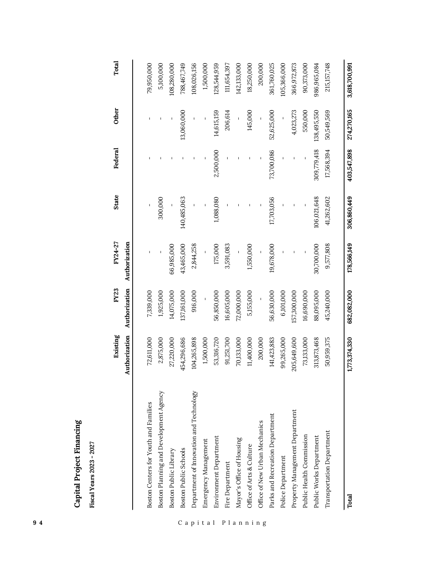| 94       |                                                       |               |               |               |              |             |              |               |
|----------|-------------------------------------------------------|---------------|---------------|---------------|--------------|-------------|--------------|---------------|
|          | Capital Project Financing<br>Fiscal Years 2023 - 2027 |               |               |               |              |             |              |               |
|          |                                                       | Existing      | FY23          | FY24-27       | <b>State</b> | Federal     | <b>Other</b> | Total         |
|          |                                                       | Authorization | Authorization | Authorization |              |             |              |               |
|          | Boston Centers for Youth and Families                 | 72,611,000    | 7,339,000     |               |              |             |              | 79,950,000    |
|          | Boston Planning and Development Agency                | 2,875,000     | 1,925,000     |               | 300,000      |             |              | 5,100,000     |
|          | Boston Public Library                                 | 27,220,000    | 14,075,000    | 66,985,000    |              |             |              | 108,280,000   |
|          | Boston Public Schools                                 | 454,296,686   | 137,161,000   | 43,465,000    | 140,485,063  |             | 13,060,000   | 788,467,749   |
|          | Department of Innovation and Technology               | 104,265,898   | 916,000       | 2,844,258     |              |             |              | 108,026,156   |
| Capital  | Emergency Management                                  | 1,500,000     |               |               |              |             |              | 1,500,000     |
|          | Environment Department                                | 53,316,720    | 56,850,000    | 175,000       | 1,088,080    | 2,500,000   | 14,615,159   | 128,544,959   |
|          | Fire Department                                       | 91,251,700    | 16,605,000    | 3,591,083     |              |             | 206,614      | 111,654,397   |
|          | Mayor's Office of Housing                             | 70,133,000    | 72,000,000    |               |              |             |              | 142,133,000   |
|          | Office of Arts & Culture                              | 11,400,000    | 5,155,000     | 1,550,000     |              |             | 145,000      | 18,250,000    |
| Planning | Office of New Urban Mechanics                         | 200,000       |               |               |              |             |              | 200,000       |
|          | Parks and Recreation Department                       | 141,423,883   | 56,630,000    | 19,678,000    | 17,703,056   | 73,700,086  | 52,625,000   | 361,760,025   |
|          | Police Department                                     | 99,265,000    | 6,101,000     |               |              |             |              | 105,366,000   |
|          | Property Management Department                        | 205,649,600   | 157,300,000   |               |              |             | 4,023,273    | 366,972,873   |
|          | Public Health Commission                              | 73,133,000    | 16,690,000    |               |              |             | 550,000      | 90,373,000    |
|          | Public Works Department                               | 313,873,468   | 88,095,000    | 30,700,000    | 106,021,648  | 309,779,418 | 138,495,550  | 986,965,084   |
|          | Transportation Department                             | 50,959,375    | 45,240,000    | 9,577,808     | 41,262,602   | 17,568,394  | 50,549,569   | 215,157,748   |
|          | Total                                                 | 1,773,374,330 | 682,082,000   | 178,566,149   | 306,860,449  | 403,547,898 | 274,270,165  | 3,618,700,991 |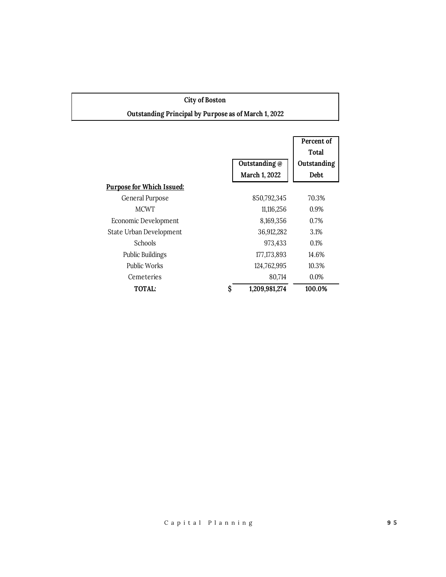| <b>City of Boston</b>                                |                     |              |
|------------------------------------------------------|---------------------|--------------|
| Outstanding Principal by Purpose as of March 1, 2022 |                     |              |
|                                                      |                     |              |
|                                                      |                     | Percent of   |
|                                                      |                     | <b>Total</b> |
|                                                      | Outstanding @       | Outstanding  |
|                                                      | March 1, 2022       | Debt         |
| <b>Purpose for Which Issued:</b>                     |                     |              |
| General Purpose                                      | 850,792,345         | 70.3%        |
| <b>MCWT</b>                                          | 11,116,256          | 0.9%         |
| Economic Development                                 | 8,169,356           | 0.7%         |
| State Urban Development                              | 36,912,282          | 3.1%         |
| Schools                                              | 973,433             | 0.1%         |
| <b>Public Buildings</b>                              | 177, 173, 893       | 14.6%        |
| <b>Public Works</b>                                  | 124,762,995         | 10.3%        |
| Cemeteries                                           | 80,714              | 0.0%         |
| TOTAL:                                               | \$<br>1,209,981,274 | 100.0%       |